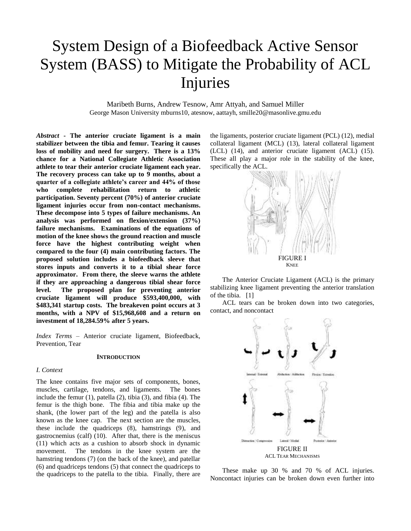# System Design of a Biofeedback Active Sensor System (BASS) to Mitigate the Probability of ACL Injuries

Maribeth Burns, Andrew Tesnow, Amr Attyah, and Samuel Miller George Mason University mburns10, atesnow, aattayh, smille20@masonlive.gmu.edu

*Abstract* **- The anterior cruciate ligament is a main stabilizer between the tibia and femur. Tearing it causes loss of mobility and need for surgery. There is a 13% chance for a National Collegiate Athletic Association athlete to tear their anterior cruciate ligament each year. The recovery process can take up to 9 months, about a quarter of a collegiate athlete's career and 44% of those who complete rehabilitation return to athletic participation. Seventy percent (70%) of anterior cruciate ligament injuries occur from non-contact mechanisms. These decompose into 5 types of failure mechanisms. An analysis was performed on flexion/extension (37%) failure mechanisms. Examinations of the equations of motion of the knee shows the ground reaction and muscle force have the highest contributing weight when compared to the four (4) main contributing factors. The proposed solution includes a biofeedback sleeve that stores inputs and converts it to a tibial shear force approximator. From there, the sleeve warns the athlete if they are approaching a dangerous tibial shear force level. The proposed plan for preventing anterior cruciate ligament will produce \$593,400,000, with \$483,341 startup costs. The breakeven point occurs at 3 months, with a NPV of \$15,968,608 and a return on investment of 18,284.59% after 5 years.**

*Index Terms* – Anterior cruciate ligament, Biofeedback, Prevention, Tear

#### **INTRODUCTION**

### *I. Context*

The knee contains five major sets of components, bones, muscles, cartilage, tendons, and ligaments. The bones include the femur (1), patella (2), tibia (3), and fibia (4). The femur is the thigh bone. The fibia and tibia make up the shank, (the lower part of the leg) and the patella is also known as the knee cap. The next section are the muscles, these include the quadriceps (8), hamstrings (9), and gastrocnemius (calf) (10). After that, there is the meniscus (11) which acts as a cushion to absorb shock in dynamic movement. The tendons in the knee system are the hamstring tendons (7) (on the back of the knee), and patellar (6) and quadriceps tendons (5) that connect the quadriceps to the quadriceps to the patella to the tibia. Finally, there are the ligaments, posterior cruciate ligament (PCL) (12), medial collateral ligament (MCL) (13), lateral collateral ligament (LCL) (14), and anterior cruciate ligament (ACL) (15). These all play a major role in the stability of the knee, specifically the ACL.



The Anterior Cruciate Ligament (ACL) is the primary stabilizing knee ligament preventing the anterior translation of the tibia. [1]

ACL tears can be broken down into two categories, contact, and noncontact



These make up 30 % and 70 % of ACL injuries. Noncontact injuries can be broken down even further into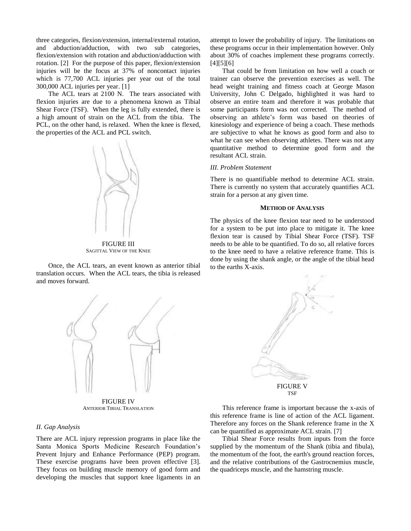three categories, flexion/extension, internal/external rotation, and abduction/adduction, with two sub categories, flexion/extension with rotation and abduction/adduction with rotation. [2] For the purpose of this paper, flexion/extension injuries will be the focus at 37% of noncontact injuries which is 77,700 ACL injuries per year out of the total 300,000 ACL injuries per year. [1]

The ACL tears at 2100 N. The tears associated with flexion injuries are due to a phenomena known as Tibial Shear Force (TSF). When the leg is fully extended, there is a high amount of strain on the ACL from the tibia. The PCL, on the other hand, is relaxed. When the knee is flexed, the properties of the ACL and PCL switch.



FIGURE III SAGITTAL VIEW OF THE KNEE

Once, the ACL tears, an event known as anterior tibial translation occurs. When the ACL tears, the tibia is released and moves forward.



FIGURE IV ANTERIOR TIBIAL TRANSLATION

#### *II. Gap Analysis*

There are ACL injury repression programs in place like the Santa Monica Sports Medicine Research Foundation's Prevent Injury and Enhance Performance (PEP) program. These exercise programs have been proven effective [3]. They focus on building muscle memory of good form and developing the muscles that support knee ligaments in an attempt to lower the probability of injury. The limitations on these programs occur in their implementation however. Only about 30% of coaches implement these programs correctly.  $[4]$ [5][6]

That could be from limitation on how well a coach or trainer can observe the prevention exercises as well. The head weight training and fitness coach at George Mason University, John C Delgado, highlighted it was hard to observe an entire team and therefore it was probable that some participants form was not corrected. The method of observing an athlete's form was based on theories of kinesiology and experience of being a coach. These methods are subjective to what he knows as good form and also to what he can see when observing athletes. There was not any quantitative method to determine good form and the resultant ACL strain.

#### *III. Problem Statement*

There is no quantifiable method to determine ACL strain. There is currently no system that accurately quantifies ACL strain for a person at any given time.

#### **METHOD OF ANALYSIS**

The physics of the knee flexion tear need to be understood for a system to be put into place to mitigate it. The knee flexion tear is caused by Tibial Shear Force (TSF). TSF needs to be able to be quantified. To do so, all relative forces to the knee need to have a relative reference frame. This is done by using the shank angle, or the angle of the tibial head to the earths X-axis.



This reference frame is important because the x-axis of this reference frame is line of action of the ACL ligament. Therefore any forces on the Shank reference frame in the X can be quantified as approximate ACL strain. [7]

Tibial Shear Force results from inputs from the force supplied by the momentum of the Shank (tibia and fibula), the momentum of the foot, the earth's ground reaction forces, and the relative contributions of the Gastrocnemius muscle, the quadriceps muscle, and the hamstring muscle.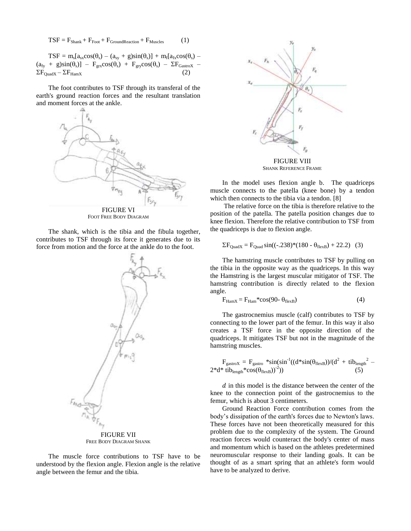$$
TSF = F_{Shank} + F_{Foot} + F_{GroundReaction} + F_{Muscles}
$$
 (1)

 $TSF = m_s[a_{sx}cos(\theta_s) - (a_{sy} + g)sin(\theta_s)] + m_f[a_{fx}cos(\theta_s) (a_{fy} + g)\sin(\theta_s)$ ] –  $F_{grx}\cos(\theta_s) + F_{gry}\cos(\theta_s)$  –  $\Sigma F_{GastroX}$  –  $\Sigma F_{\text{QuadX}} - \Sigma F_{\text{HamX}}$ 

The foot contributes to TSF through its transferal of the earth's ground reaction forces and the resultant translation and moment forces at the ankle.



FOOT FREE BODY DIAGRAM

The shank, which is the tibia and the fibula together, contributes to TSF through its force it generates due to its force from motion and the force at the ankle do to the foot.



FREE BODY DIAGRAM SHANK

The muscle force contributions to TSF have to be understood by the flexion angle. Flexion angle is the relative angle between the femur and the tibia.



FIGURE VIII SHANK REFERENCE FRAME

In the model uses flexion angle b. The quadriceps muscle connects to the patella (knee bone) by a tendon which then connects to the tibia via a tendon. [8]

The relative force on the tibia is therefore relative to the position of the patella. The patella position changes due to knee flexion. Therefore the relative contribution to TSF from the quadriceps is due to flexion angle.

$$
\Sigma F_{\text{QuadX}} = F_{\text{Quad}} \sin((-.238)^{*}(180 - \theta_{\text{flexB}}) + 22.2) \tag{3}
$$

The hamstring muscle contributes to TSF by pulling on the tibia in the opposite way as the quadriceps. In this way the Hamstring is the largest muscular mitigator of TSF. The hamstring contribution is directly related to the flexion angle.

$$
F_{\text{HamX}} = F_{\text{Ham}} * \cos(90 - \theta_{\text{flexB}}) \tag{4}
$$

The gastrocnemius muscle (calf) contributes to TSF by connecting to the lower part of the femur. In this way it also creates a TSF force in the opposite direction of the quadriceps. It mitigates TSF but not in the magnitude of the hamstring muscles.

$$
F_{\text{gastroX}} = F_{\text{gastro}} * \sin(\sin^{-1}((d * \sin(\theta_{\text{flexB}}))/(d^2 + \text{tib}_{\text{length}}^2 - 2 * d * \text{tib}_{\text{length}} * \cos(\theta_{\text{flexB}}))^2))
$$
(5)

 $d$  in this model is the distance between the center of the knee to the connection point of the gastrocnemius to the femur, which is about 3 centimeters.

Ground Reaction Force contribution comes from the body's dissipation of the earth's forces due to Newton's laws. These forces have not been theoretically measured for this problem due to the complexity of the system. The Ground reaction forces would counteract the body's center of mass and momentum which is based on the athletes predetermined neuromuscular response to their landing goals. It can be thought of as a smart spring that an athlete's form would have to be analyzed to derive.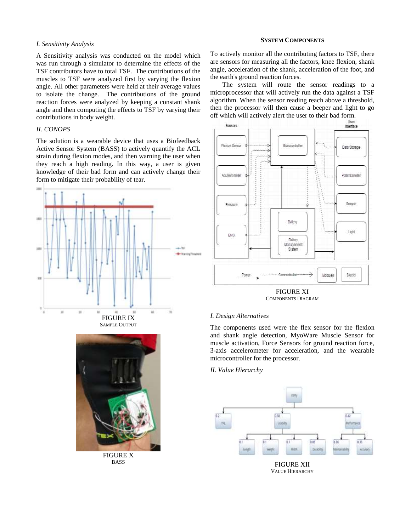# *I. Sensitivity Analysis*

A Sensitivity analysis was conducted on the model which was run through a simulator to determine the effects of the TSF contributors have to total TSF. The contributions of the muscles to TSF were analyzed first by varying the flexion angle. All other parameters were held at their average values to isolate the change. The contributions of the ground reaction forces were analyzed by keeping a constant shank angle and then computing the effects to TSF by varying their contributions in body weight.

# *II. CONOPS*

The solution is a wearable device that uses a Biofeedback Active Sensor System (BASS) to actively quantify the ACL strain during flexion modes, and then warning the user when they reach a high reading. In this way, a user is given knowledge of their bad form and can actively change their form to mitigate their probability of tear.





FIGURE X BASS

#### **SYSTEM COMPONENTS**

To actively monitor all the contributing factors to TSF, there are sensors for measuring all the factors, knee flexion, shank angle, acceleration of the shank, acceleration of the foot, and the earth's ground reaction forces.

The system will route the sensor readings to a microprocessor that will actively run the data against a TSF algorithm. When the sensor reading reach above a threshold, then the processor will then cause a beeper and light to go



FIGURE XI COMPONENTS DIAGRAM

# *I. Design Alternatives*

The components used were the flex sensor for the flexion and shank angle detection, MyoWare Muscle Sensor for muscle activation, Force Sensors for ground reaction force, 3-axis accelerometer for acceleration, and the wearable microcontroller for the processor.

#### *II. Value Hierarchy*

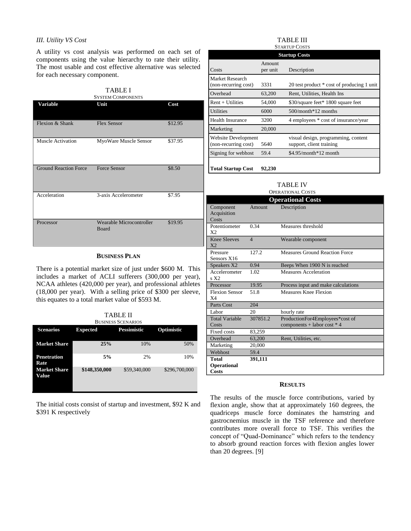# *III. Utility VS Cost*

A utility vs cost analysis was performed on each set of components using the value hierarchy to rate their utility. The most usable and cost effective alternative was selected for each necessary component.

| <b>TABLE I</b><br><b>SYSTEM COMPONENTS</b> |                                   |         |  |
|--------------------------------------------|-----------------------------------|---------|--|
| Variable                                   | Unit                              | Cost    |  |
| Flexion & Shank                            | <b>Flex Sensor</b>                | \$12.95 |  |
| Muscle Activation                          | MyoWare Muscle Sensor             | \$37.95 |  |
| <b>Ground Reaction Force</b>               | <b>Force Sensor</b>               | \$8.50  |  |
| Acceleration                               | 3-axis Accelerometer              | \$7.95  |  |
| Processor                                  | Wearable Microcontroller<br>Board | \$19.95 |  |

# **BUSINESS PLAN**

There is a potential market size of just under \$600 M. This includes a market of ACLI sufferers (300,000 per year), NCAA athletes (420,000 per year), and professional athletes (18,000 per year). With a selling price of \$300 per sleeve, this equates to a total market value of \$593 M.

TABLE II BUSINESS SCENARIOS

| розичья эсычтог              |                 |              |               |  |  |  |
|------------------------------|-----------------|--------------|---------------|--|--|--|
| <b>Scenarios</b>             | <b>Expected</b> | Pessimistic  | Optimistic    |  |  |  |
| <b>Market Share</b>          | 25%             | 10%          | 50%           |  |  |  |
| <b>Penetration</b><br>Rate   | 5%              | 2%           | 10%           |  |  |  |
| <b>Market Share</b><br>Value | \$148,350,000   | \$59,340,000 | \$296,700,000 |  |  |  |

The initial costs consist of startup and investment, \$92 K and \$391 K respectively

#### TABLE III STARTUP COSTS

| <b>Startup Costs</b>                        |                    |                                                                 |  |  |
|---------------------------------------------|--------------------|-----------------------------------------------------------------|--|--|
| Costs                                       | Amount<br>per unit | Description                                                     |  |  |
| Market Research<br>(non-recurring cost)     | 3331               | 20 test product * cost of producing 1 unit                      |  |  |
| Overhead                                    | 63,200             | Rent, Utilities, Health Ins                                     |  |  |
| $Rent + Utilities$                          | 54,000             | \$30/square feet* 1800 square feet                              |  |  |
| Utilities                                   | 6000               | $500/m$ onth $*12$ months                                       |  |  |
| <b>Health Insurance</b>                     | 3200               | 4 employees * cost of insurance/year                            |  |  |
| Marketing                                   | 20,000             |                                                                 |  |  |
| Website Development<br>(non-recurring cost) | 5640               | visual design, programming, content<br>support, client training |  |  |
| Signing for webhost                         | 59.4               | $$4.95/month*12$ month                                          |  |  |
| <b>Total Startup Cost</b>                   | 92,230             |                                                                 |  |  |

# TARI F IV

| . <i>. .</i>      |  |
|-------------------|--|
| OPERATIONAL COSTS |  |

| <b>Operational Costs</b>                |                |                                                                  |  |  |
|-----------------------------------------|----------------|------------------------------------------------------------------|--|--|
| Component<br>Acquisition<br>Costs       | Amount         | Description                                                      |  |  |
| Potentiometer<br>X <sub>2</sub>         | 0.34           | Measures threshold                                               |  |  |
| <b>Knee Sleeves</b><br>X                | $\overline{4}$ | Wearable component                                               |  |  |
| Pressure<br>Sensors X16                 | 127.2          | <b>Measures Ground Reaction Force</b>                            |  |  |
| Speakers X2                             | 0.94           | Beeps When 1900 N is reached                                     |  |  |
| Accelerometer<br>s X2                   | 1.02           | Measures Acceleration                                            |  |  |
| Processor                               | 19.95          | Process input and make calculations                              |  |  |
| <b>Flexion Sensor</b><br>X <sub>4</sub> | 51.8           | Measures Knee Flexion                                            |  |  |
| <b>Parts Cost</b>                       | 204            |                                                                  |  |  |
| Labor                                   | 20             | hourly rate                                                      |  |  |
| <b>Total Variable</b><br>Costs          | 307851.2       | ProductionFor4Employees*cost of<br>components + labor cost $*$ 4 |  |  |
| Fixed costs                             | 83,259         |                                                                  |  |  |
| Overhead                                | 63,200         | Rent, Utilities, etc.                                            |  |  |
| Marketing                               | 20,000         |                                                                  |  |  |
| Webhost                                 | 59.4           |                                                                  |  |  |
| Total<br>Operational<br><b>Costs</b>    | 391,111        |                                                                  |  |  |

# **RESULTS**

The results of the muscle force contributions, varied by flexion angle, show that at approximately 160 degrees, the quadriceps muscle force dominates the hamstring and gastrocnemius muscle in the TSF reference and therefore contributes more overall force to TSF. This verifies the concept of "Quad-Dominance" which refers to the tendency to absorb ground reaction forces with flexion angles lower than 20 degrees. [9]